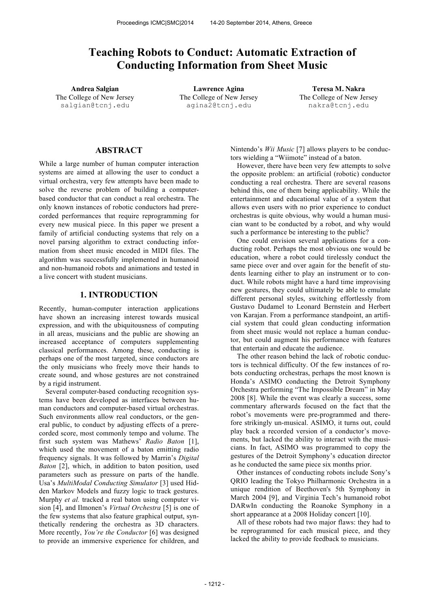# **Teaching Robots to Conduct: Automatic Extraction of Conducting Information from Sheet Music**

The College of New Jersey salgian@tcnj.edu

**Andrea Salgian Lawrence Agina Teresa M. Nakra** The College of New Jersey agina2@tcnj.edu

The College of New Jersey nakra@tcnj.edu

## **ABSTRACT**

While a large number of human computer interaction systems are aimed at allowing the user to conduct a virtual orchestra, very few attempts have been made to solve the reverse problem of building a computerbased conductor that can conduct a real orchestra. The only known instances of robotic conductors had prerecorded performances that require reprogramming for every new musical piece. In this paper we present a family of artificial conducting systems that rely on a novel parsing algorithm to extract conducting information from sheet music encoded in MIDI files. The algorithm was successfully implemented in humanoid and non-humanoid robots and animations and tested in a live concert with student musicians.

# **1. INTRODUCTION**

Recently, human-computer interaction applications have shown an increasing interest towards musical expression, and with the ubiquitousness of computing in all areas, musicians and the public are showing an increased acceptance of computers supplementing classical performances. Among these, conducting is perhaps one of the most targeted, since conductors are the only musicians who freely move their hands to create sound, and whose gestures are not constrained by a rigid instrument.

Several computer-based conducting recognition systems have been developed as interfaces between human conductors and computer-based virtual orchestras. Such environments allow real conductors, or the general public, to conduct by adjusting effects of a prerecorded score, most commonly tempo and volume. The first such system was Mathews' *Radio Baton* [1], which used the movement of a baton emitting radio frequency signals. It was followed by Marrin's *Digital Baton* [2], which, in addition to baton position, used parameters such as pressure on parts of the handle. Usa's *MultiModal Conducting Simulator* [3] used Hidden Markov Models and fuzzy logic to track gestures. Murphy *et al.* tracked a real baton using computer vision [4], and Ilmonen's *Virtual Orchestra* [5] is one of the few systems that also feature graphical output, synthetically rendering the orchestra as 3D characters. More recently, *You're the Conductor* [6] was designed to provide an immersive experience for children, and Nintendo's *Wii Music* [7] allows players to be conductors wielding a "Wiimote" instead of a baton.

However, there have been very few attempts to solve the opposite problem: an artificial (robotic) conductor conducting a real orchestra. There are several reasons behind this, one of them being applicability. While the entertainment and educational value of a system that allows even users with no prior experience to conduct orchestras is quite obvious, why would a human musician want to be conducted by a robot, and why would such a performance be interesting to the public?

One could envision several applications for a conducting robot. Perhaps the most obvious one would be education, where a robot could tirelessly conduct the same piece over and over again for the benefit of students learning either to play an instrument or to conduct. While robots might have a hard time improvising new gestures, they could ultimately be able to emulate different personal styles, switching effortlessly from Gustavo Dudamel to Leonard Bernstein and Herbert von Karajan. From a performance standpoint, an artificial system that could glean conducting information from sheet music would not replace a human conductor, but could augment his performance with features that entertain and educate the audience.

The other reason behind the lack of robotic conductors is technical difficulty. Of the few instances of robots conducting orchestras, perhaps the most known is Honda's ASIMO conducting the Detroit Symphony Orchestra performing "The Impossible Dream" in May 2008 [8]. While the event was clearly a success, some commentary afterwards focused on the fact that the robot's movements were pre-programmed and therefore strikingly un-musical. ASIMO, it turns out, could play back a recorded version of a conductor's movements, but lacked the ability to interact with the musicians. In fact, ASIMO was programmed to copy the gestures of the Detroit Symphony's education director as he conducted the same piece six months prior.

Other instances of conducting robots include Sony's QRIO leading the Tokyo Philharmonic Orchestra in a unique rendition of Beethoven's 5th Symphony in March 2004 [9], and Virginia Tech's humanoid robot DARwIn conducting the Roanoke Symphony in a short appearance at a 2008 Holiday concert [10].

All of these robots had two major flaws: they had to be reprogrammed for each musical piece, and they lacked the ability to provide feedback to musicians.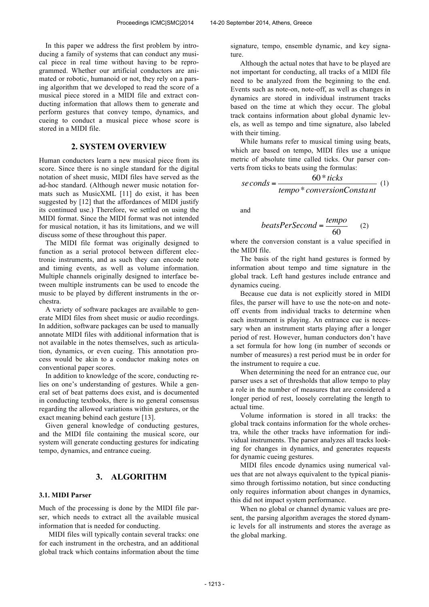In this paper we address the first problem by introducing a family of systems that can conduct any musical piece in real time without having to be reprogrammed. Whether our artificial conductors are animated or robotic, humanoid or not, they rely on a parsing algorithm that we developed to read the score of a musical piece stored in a MIDI file and extract conducting information that allows them to generate and perform gestures that convey tempo, dynamics, and cueing to conduct a musical piece whose score is stored in a MIDI file.

# **2. SYSTEM OVERVIEW**

Human conductors learn a new musical piece from its score. Since there is no single standard for the digital notation of sheet music, MIDI files have served as the ad-hoc standard. (Although newer music notation formats such as MusicXML [11] do exist, it has been suggested by [12] that the affordances of MIDI justify its continued use.) Therefore, we settled on using the MIDI format. Since the MIDI format was not intended for musical notation, it has its limitations, and we will discuss some of these throughout this paper.

The MIDI file format was originally designed to function as a serial protocol between different electronic instruments, and as such they can encode note and timing events, as well as volume information. Multiple channels originally designed to interface between multiple instruments can be used to encode the music to be played by different instruments in the orchestra.

A variety of software packages are available to generate MIDI files from sheet music or audio recordings. In addition, software packages can be used to manually annotate MIDI files with additional information that is not available in the notes themselves, such as articulation, dynamics, or even cueing. This annotation process would be akin to a conductor making notes on conventional paper scores.

In addition to knowledge of the score, conducting relies on one's understanding of gestures. While a general set of beat patterns does exist, and is documented in conducting textbooks, there is no general consensus regarding the allowed variations within gestures, or the exact meaning behind each gesture [13].

Given general knowledge of conducting gestures, and the MIDI file containing the musical score, our system will generate conducting gestures for indicating tempo, dynamics, and entrance cueing.

### **3. ALGORITHM**

#### **3.1. MIDI Parser**

Much of the processing is done by the MIDI file parser, which needs to extract all the available musical information that is needed for conducting.

MIDI files will typically contain several tracks: one for each instrument in the orchestra, and an additional global track which contains information about the time

signature, tempo, ensemble dynamic, and key signature.

Although the actual notes that have to be played are not important for conducting, all tracks of a MIDI file need to be analyzed from the beginning to the end. Events such as note-on, note-off, as well as changes in dynamics are stored in individual instrument tracks based on the time at which they occur. The global track contains information about global dynamic levels, as well as tempo and time signature, also labeled with their timing.

While humans refer to musical timing using beats, which are based on tempo, MIDI files use a unique metric of absolute time called ticks. Our parser converts from ticks to beats using the formulas:

$$
seconds = \frac{60 * ticks}{tempo * conversionConstant}
$$
 (1)

and

$$
beatsPerSecond = \frac{tempo}{60} \qquad (2)
$$

where the conversion constant is a value specified in the MIDI file.

The basis of the right hand gestures is formed by information about tempo and time signature in the global track. Left hand gestures include entrance and dynamics cueing.

Because cue data is not explicitly stored in MIDI files, the parser will have to use the note-on and noteoff events from individual tracks to determine when each instrument is playing. An entrance cue is necessary when an instrument starts playing after a longer period of rest. However, human conductors don't have a set formula for how long (in number of seconds or number of measures) a rest period must be in order for the instrument to require a cue.

When determining the need for an entrance cue, our parser uses a set of thresholds that allow tempo to play a role in the number of measures that are considered a longer period of rest, loosely correlating the length to actual time.

Volume information is stored in all tracks: the global track contains information for the whole orchestra, while the other tracks have information for individual instruments. The parser analyzes all tracks looking for changes in dynamics, and generates requests for dynamic cueing gestures.

MIDI files encode dynamics using numerical values that are not always equivalent to the typical pianissimo through fortissimo notation, but since conducting only requires information about changes in dynamics, this did not impact system performance.

When no global or channel dynamic values are present, the parsing algorithm averages the stored dynamic levels for all instruments and stores the average as the global marking.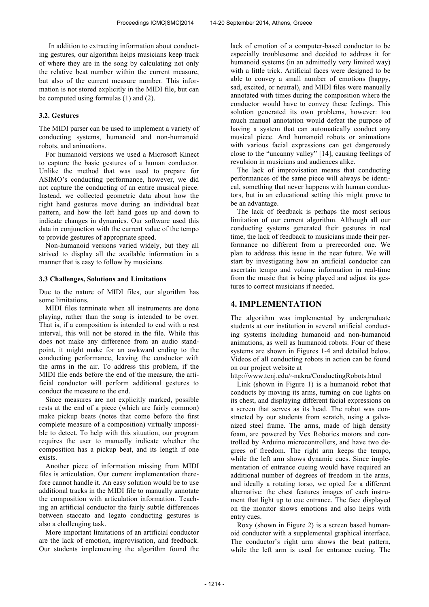In addition to extracting information about conducting gestures, our algorithm helps musicians keep track of where they are in the song by calculating not only the relative beat number within the current measure, but also of the current measure number. This information is not stored explicitly in the MIDI file, but can be computed using formulas (1) and (2).

#### **3.2. Gestures**

The MIDI parser can be used to implement a variety of conducting systems, humanoid and non-humanoid robots, and animations.

For humanoid versions we used a Microsoft Kinect to capture the basic gestures of a human conductor. Unlike the method that was used to prepare for ASIMO's conducting performance, however, we did not capture the conducting of an entire musical piece. Instead, we collected geometric data about how the right hand gestures move during an individual beat pattern, and how the left hand goes up and down to indicate changes in dynamics. Our software used this data in conjunction with the current value of the tempo to provide gestures of appropriate speed.

Non-humanoid versions varied widely, but they all strived to display all the available information in a manner that is easy to follow by musicians.

#### **3.3 Challenges, Solutions and Limitations**

Due to the nature of MIDI files, our algorithm has some limitations.

MIDI files terminate when all instruments are done playing, rather than the song is intended to be over. That is, if a composition is intended to end with a rest interval, this will not be stored in the file. While this does not make any difference from an audio standpoint, it might make for an awkward ending to the conducting performance, leaving the conductor with the arms in the air. To address this problem, if the MIDI file ends before the end of the measure, the artificial conductor will perform additional gestures to conduct the measure to the end.

Since measures are not explicitly marked, possible rests at the end of a piece (which are fairly common) make pickup beats (notes that come before the first complete measure of a composition) virtually impossible to detect. To help with this situation, our program requires the user to manually indicate whether the composition has a pickup beat, and its length if one exists.

Another piece of information missing from MIDI files is articulation. Our current implementation therefore cannot handle it. An easy solution would be to use additional tracks in the MIDI file to manually annotate the composition with articulation information. Teaching an artificial conductor the fairly subtle differences between staccato and legato conducting gestures is also a challenging task.

More important limitations of an artificial conductor are the lack of emotion, improvisation, and feedback. Our students implementing the algorithm found the lack of emotion of a computer-based conductor to be especially troublesome and decided to address it for humanoid systems (in an admittedly very limited way) with a little trick. Artificial faces were designed to be able to convey a small number of emotions (happy, sad, excited, or neutral), and MIDI files were manually annotated with times during the composition where the conductor would have to convey these feelings. This solution generated its own problems, however: too much manual annotation would defeat the purpose of having a system that can automatically conduct any musical piece. And humanoid robots or animations with various facial expressions can get dangerously close to the "uncanny valley" [14], causing feelings of revulsion in musicians and audiences alike.

The lack of improvisation means that conducting performances of the same piece will always be identical, something that never happens with human conductors, but in an educational setting this might prove to be an advantage.

The lack of feedback is perhaps the most serious limitation of our current algorithm. Although all our conducting systems generated their gestures in real time, the lack of feedback to musicians made their performance no different from a prerecorded one. We plan to address this issue in the near future. We will start by investigating how an artificial conductor can ascertain tempo and volume information in real-time from the music that is being played and adjust its gestures to correct musicians if needed.

# **4. IMPLEMENTATION**

The algorithm was implemented by undergraduate students at our institution in several artificial conducting systems including humanoid and non-humanoid animations, as well as humanoid robots. Four of these systems are shown in Figures 1-4 and detailed below. Videos of all conducting robots in action can be found on our project website at

http://www.tcnj.edu/~nakra/ConductingRobots.html

Link (shown in Figure 1) is a humanoid robot that conducts by moving its arms, turning on cue lights on its chest, and displaying different facial expressions on a screen that serves as its head. The robot was constructed by our students from scratch, using a galvanized steel frame. The arms, made of high density foam, are powered by Vex Robotics motors and controlled by Arduino microcontrollers, and have two degrees of freedom. The right arm keeps the tempo, while the left arm shows dynamic cues. Since implementation of entrance cueing would have required an additional number of degrees of freedom in the arms, and ideally a rotating torso, we opted for a different alternative: the chest features images of each instrument that light up to cue entrance. The face displayed on the monitor shows emotions and also helps with entry cues.

Roxy (shown in Figure 2) is a screen based humanoid conductor with a supplemental graphical interface. The conductor's right arm shows the beat pattern, while the left arm is used for entrance cueing. The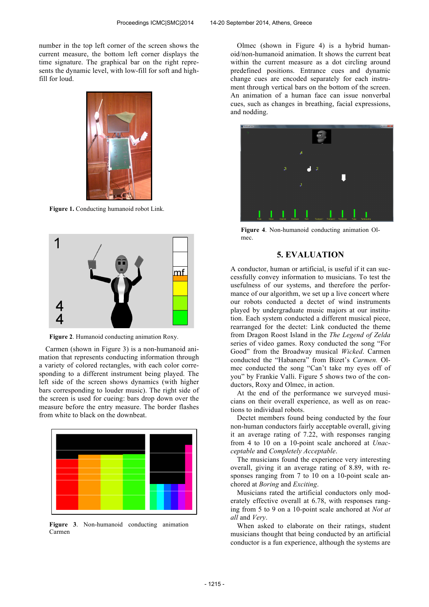number in the top left corner of the screen shows the current measure, the bottom left corner displays the time signature. The graphical bar on the right represents the dynamic level, with low-fill for soft and highfill for loud.



**Figure 1.** Conducting humanoid robot Link.



**Figure 2**. Humanoid conducting animation Roxy.

Carmen (shown in Figure 3) is a non-humanoid animation that represents conducting information through a variety of colored rectangles, with each color corresponding to a different instrument being played. The left side of the screen shows dynamics (with higher bars corresponding to louder music). The right side of the screen is used for cueing: bars drop down over the measure before the entry measure. The border flashes from white to black on the downbeat.



**Figure 3**. Non-humanoid conducting animation Carmen

Olmec (shown in Figure 4) is a hybrid humanoid/non-humanoid animation. It shows the current beat within the current measure as a dot circling around predefined positions. Entrance cues and dynamic change cues are encoded separately for each instrument through vertical bars on the bottom of the screen. An animation of a human face can issue nonverbal cues, such as changes in breathing, facial expressions, and nodding.



**Figure 4**. Non-humanoid conducting animation Olmec.

#### **5. EVALUATION**

A conductor, human or artificial, is useful if it can successfully convey information to musicians. To test the usefulness of our systems, and therefore the performance of our algorithm, we set up a live concert where our robots conducted a dectet of wind instruments played by undergraduate music majors at our institution. Each system conducted a different musical piece, rearranged for the dectet: Link conducted the theme from Dragon Roost Island in the *The Legend of Zelda* series of video games. Roxy conducted the song "For Good" from the Broadway musical *Wicked*. Carmen conducted the "Habanera" from Bizet's *Carmen.* Olmec conducted the song "Can't take my eyes off of you" by Frankie Valli. Figure 5 shows two of the conductors, Roxy and Olmec, in action.

At the end of the performance we surveyed musicians on their overall experience, as well as on reactions to individual robots.

Dectet members found being conducted by the four non-human conductors fairly acceptable overall, giving it an average rating of 7.22, with responses ranging from 4 to 10 on a 10-point scale anchored at *Unacceptable* and *Completely Acceptable*.

The musicians found the experience very interesting overall, giving it an average rating of 8.89, with responses ranging from 7 to 10 on a 10-point scale anchored at *Boring* and *Exciting*.

Musicians rated the artificial conductors only moderately effective overall at 6.78, with responses ranging from 5 to 9 on a 10-point scale anchored at *Not at all* and *Very*.

When asked to elaborate on their ratings, student musicians thought that being conducted by an artificial conductor is a fun experience, although the systems are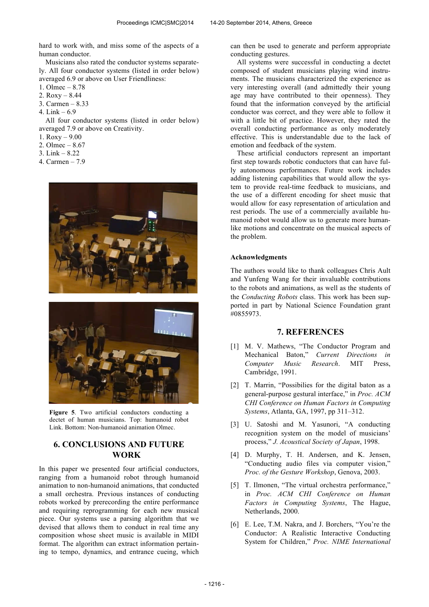hard to work with, and miss some of the aspects of a human conductor.

Musicians also rated the conductor systems separately. All four conductor systems (listed in order below) averaged 6.9 or above on User Friendliness:

- 1. Olmec 8.78
- 2. Roxy 8.44
- 3. Carmen 8.33
- 4. Link 6.9

All four conductor systems (listed in order below) averaged 7.9 or above on Creativity.

- 1.  $Roxy 9.00$
- 2. Olmec 8.67
- 3. Link 8.22
- 4. Carmen 7.9





**Figure 5**. Two artificial conductors conducting a dectet of human musicians. Top: humanoid robot Link. Bottom: Non-humanoid animation Olmec.

# **6. CONCLUSIONS AND FUTURE WORK**

In this paper we presented four artificial conductors, ranging from a humanoid robot through humanoid animation to non-humanoid animations, that conducted a small orchestra. Previous instances of conducting robots worked by prerecording the entire performance and requiring reprogramming for each new musical piece. Our systems use a parsing algorithm that we devised that allows them to conduct in real time any composition whose sheet music is available in MIDI format. The algorithm can extract information pertaining to tempo, dynamics, and entrance cueing, which can then be used to generate and perform appropriate conducting gestures.

All systems were successful in conducting a dectet composed of student musicians playing wind instruments. The musicians characterized the experience as very interesting overall (and admittedly their young age may have contributed to their openness). They found that the information conveyed by the artificial conductor was correct, and they were able to follow it with a little bit of practice. However, they rated the overall conducting performance as only moderately effective. This is understandable due to the lack of emotion and feedback of the system.

These artificial conductors represent an important first step towards robotic conductors that can have fully autonomous performances. Future work includes adding listening capabilities that would allow the system to provide real-time feedback to musicians, and the use of a different encoding for sheet music that would allow for easy representation of articulation and rest periods. The use of a commercially available humanoid robot would allow us to generate more humanlike motions and concentrate on the musical aspects of the problem.

### **Acknowledgments**

The authors would like to thank colleagues Chris Ault and Yunfeng Wang for their invaluable contributions to the robots and animations, as well as the students of the *Conducting Robots* class. This work has been supported in part by National Science Foundation grant #0855973.

### **7. REFERENCES**

- [1] M. V. Mathews, "The Conductor Program and Mechanical Baton," *Current Directions in Computer Music Research*. MIT Press, Cambridge, 1991.
- [2] T. Marrin, "Possibilies for the digital baton as a general-purpose gestural interface," in *Proc. ACM CHI Conference on Human Factors in Computing Systems*, Atlanta, GA, 1997, pp 311–312.
- [3] U. Satoshi and M. Yasunori, "A conducting recognition system on the model of musicians' process," *J. Acoustical Society of Japan*, 1998.
- [4] D. Murphy, T. H. Andersen, and K. Jensen, "Conducting audio files via computer vision," *Proc. of the Gesture Workshop*, Genova, 2003.
- [5] T. Ilmonen, "The virtual orchestra performance," in *Proc. ACM CHI Conference on Human Factors in Computing Systems*, The Hague, Netherlands, 2000.
- [6] E. Lee, T.M. Nakra, and J. Borchers, "You're the Conductor: A Realistic Interactive Conducting System for Children," *Proc. NIME International*